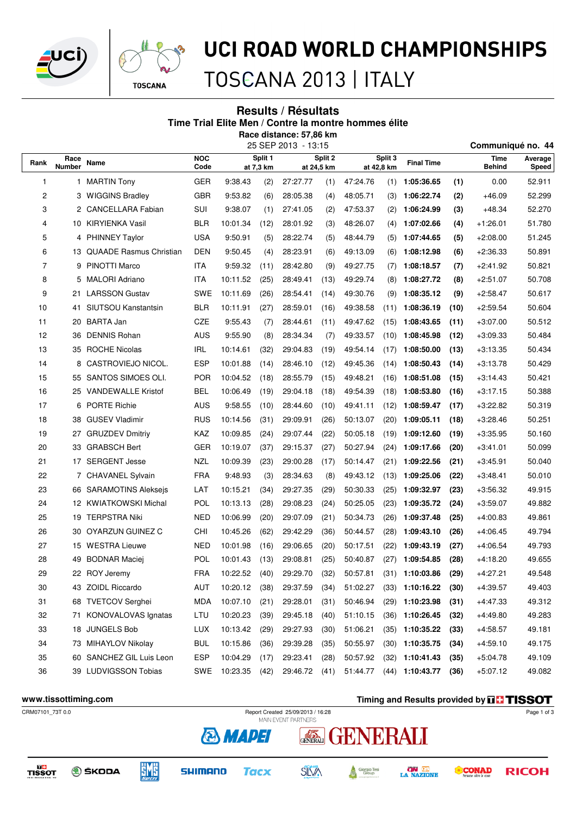



# UCI ROAD WORLD CHAMPIONSHIPS

### TOSCANA 2013 | ITALY

### **Results / Résultats Time Trial Elite Men / Contre la montre hommes élite Race distance: 57,86 km**

25 SEP 2013 - 13:15 **Communiqué no. 44**

| Rank | Race<br><b>Number</b> | Name                           | <b>NOC</b><br>Code |          | Split 1<br>at 7,3 km |          | Split 2<br>at 24,5 km | Split 3<br>at 42,8 km |      | <b>Final Time</b> |      | Time<br><b>Behind</b> | Average<br>Speed |
|------|-----------------------|--------------------------------|--------------------|----------|----------------------|----------|-----------------------|-----------------------|------|-------------------|------|-----------------------|------------------|
| 1    | $\mathbf{1}$          | <b>MARTIN Tony</b>             | <b>GER</b>         | 9:38.43  | (2)                  | 27:27.77 | (1)                   | 47:24.76              | (1)  | 1:05:36.65        | (1)  | 0.00                  | 52.911           |
| 2    | 3                     | <b>WIGGINS Bradley</b>         | <b>GBR</b>         | 9:53.82  | (6)                  | 28:05.38 | (4)                   | 48:05.71              | (3)  | 1:06:22.74        | (2)  | $+46.09$              | 52.299           |
| 3    | 2                     | <b>CANCELLARA Fabian</b>       | SUI                | 9:38.07  | (1)                  | 27:41.05 | (2)                   | 47:53.37              | (2)  | 1:06:24.99        | (3)  | $+48.34$              | 52.270           |
| 4    | 10                    | <b>KIRYIENKA Vasil</b>         | <b>BLR</b>         | 10:01.34 | (12)                 | 28:01.92 | (3)                   | 48:26.07              | (4)  | 1:07:02.66        | (4)  | $+1:26.01$            | 51.780           |
| 5    | 4                     | <b>PHINNEY Taylor</b>          | <b>USA</b>         | 9:50.91  | (5)                  | 28:22.74 | (5)                   | 48:44.79              | (5)  | 1:07:44.65        | (5)  | $+2:08.00$            | 51.245           |
| 6    | 13                    | <b>QUAADE Rasmus Christian</b> | <b>DEN</b>         | 9:50.45  | (4)                  | 28:23.91 | (6)                   | 49:13.09              | (6)  | 1:08:12.98        | (6)  | $+2:36.33$            | 50.891           |
| 7    | 9                     | <b>PINOTTI Marco</b>           | ITA                | 9:59.32  | (11)                 | 28:42.80 | (9)                   | 49:27.75              | (7)  | 1:08:18.57        | (7)  | +2:41.92              | 50.821           |
| 8    | 5.                    | <b>MALORI Adriano</b>          | ITA                | 10:11.52 | (25)                 | 28:49.41 | (13)                  | 49:29.74              | (8)  | 1:08:27.72        | (8)  | $+2:51.07$            | 50.708           |
| 9    | 21                    | <b>LARSSON Gustav</b>          | SWE                | 10:11.69 | (26)                 | 28:54.41 | (14)                  | 49:30.76              | (9)  | 1:08:35.12        | (9)  | $+2.58.47$            | 50.617           |
| 10   | 41                    | SIUTSOU Kanstantsin            | <b>BLR</b>         | 10:11.91 | (27)                 | 28:59.01 | (16)                  | 49:38.58              | (11) | 1:08:36.19        | (10) | $+2.59.54$            | 50.604           |
| 11   | 20                    | <b>BARTA Jan</b>               | <b>CZE</b>         | 9:55.43  | (7)                  | 28:44.61 | (11)                  | 49:47.62              | (15) | 1:08:43.65        | (11) | $+3:07.00$            | 50.512           |
| 12   | 36                    | <b>DENNIS Rohan</b>            | <b>AUS</b>         | 9:55.90  | (8)                  | 28:34.34 | (7)                   | 49:33.57              | (10) | 1:08:45.98        | (12) | $+3.09.33$            | 50.484           |
| 13   |                       | 35 ROCHE Nicolas               | <b>IRL</b>         | 10:14.61 | (32)                 | 29:04.83 | (19)                  | 49:54.14              | (17) | 1:08:50.00        | (13) | $+3:13.35$            | 50.434           |
| 14   | 8                     | CASTROVIEJO NICOL.             | <b>ESP</b>         | 10:01.88 | (14)                 | 28:46.10 | (12)                  | 49:45.36              | (14) | 1:08:50.43        | (14) | $+3:13.78$            | 50.429           |
| 15   | 55                    | SANTOS SIMOES OLI.             | POR                | 10:04.52 | (18)                 | 28:55.79 | (15)                  | 49:48.21              | (16) | 1:08:51.08        | (15) | $+3.14.43$            | 50.421           |
| 16   | 25                    | <b>VANDEWALLE Kristof</b>      | <b>BEL</b>         | 10:06.49 | (19)                 | 29:04.18 | (18)                  | 49:54.39              | (18) | 1:08:53.80        | (16) | $+3:17.15$            | 50.388           |
| 17   | 6                     | <b>PORTE Richie</b>            | AUS                | 9:58.55  | (10)                 | 28:44.60 | (10)                  | 49:41.11              | (12) | 1:08:59.47        | (17) | $+3:22.82$            | 50.319           |
| 18   | 38                    | <b>GUSEV Vladimir</b>          | RUS                | 10:14.56 | (31)                 | 29:09.91 | (26)                  | 50:13.07              | (20) | 1:09:05.11        | (18) | $+3:28.46$            | 50.251           |
| 19   | 27                    | <b>GRUZDEV Dmitriy</b>         | KAZ                | 10:09.85 | (24)                 | 29:07.44 | (22)                  | 50:05.18              | (19) | 1:09:12.60        | (19) | $+3:35.95$            | 50.160           |
| 20   | 33                    | <b>GRABSCH Bert</b>            | <b>GER</b>         | 10:19.07 | (37)                 | 29:15.37 | (27)                  | 50:27.94              | (24) | 1:09:17.66        | (20) | $+3:41.01$            | 50.099           |
| 21   | 17                    | <b>SERGENT Jesse</b>           | <b>NZL</b>         | 10:09.39 | (23)                 | 29:00.28 | (17)                  | 50:14.47              | (21) | 1:09:22.56        | (21) | $+3:45.91$            | 50.040           |
| 22   |                       | 7 CHAVANEL Sylvain             | <b>FRA</b>         | 9:48.93  | (3)                  | 28:34.63 | (8)                   | 49:43.12              | (13) | 1:09:25.06        | (22) | $+3:48.41$            | 50.010           |
| 23   | 66                    | <b>SARAMOTINS Aleksejs</b>     | LAT                | 10:15.21 | (34)                 | 29:27.35 | (29)                  | 50:30.33              | (25) | 1:09:32.97        | (23) | +3:56.32              | 49.915           |
| 24   | 12                    | <b>KWIATKOWSKI Michal</b>      | POL                | 10:13.13 | (28)                 | 29:08.23 | (24)                  | 50:25.05              | (23) | 1:09:35.72        | (24) | $+3:59.07$            | 49.882           |
| 25   | 19                    | <b>TERPSTRA Niki</b>           | <b>NED</b>         | 10:06.99 | (20)                 | 29:07.09 | (21)                  | 50:34.73              | (26) | 1:09:37.48        | (25) | $+4:00.83$            | 49.861           |
| 26   | 30                    | OYARZUN GUINEZ C               | CHI                | 10:45.26 | (62)                 | 29:42.29 | (36)                  | 50:44.57              | (28) | 1:09:43.10        | (26) | +4:06.45              | 49.794           |
| 27   | 15                    | <b>WESTRA Lieuwe</b>           | <b>NED</b>         | 10:01.98 | (16)                 | 29:06.65 | (20)                  | 50:17.51              | (22) | 1:09:43.19        | (27) | $+4:06.54$            | 49.793           |
| 28   | 49                    | <b>BODNAR Maciej</b>           | POL                | 10:01.43 | (13)                 | 29:08.81 | (25)                  | 50:40.87              | (27) | 1:09:54.85        | (28) | $+4:18.20$            | 49.655           |
| 29   |                       | 22 ROY Jeremy                  | <b>FRA</b>         | 10:22.52 | (40)                 | 29:29.70 | (32)                  | 50:57.81              | (31) | 1:10:03.86        | (29) | +4:27.21              | 49.548           |
| 30   |                       | 43 ZOIDL Riccardo              | AUT                | 10:20.12 | (38)                 | 29:37.59 | (34)                  | 51:02.27              |      | $(33)$ 1:10:16.22 | (30) | $+4:39.57$            | 49.403           |
| 31   |                       | 68 TVETCOV Serghei             | <b>MDA</b>         | 10:07.10 | (21)                 | 29:28.01 | (31)                  | 50:46.94              |      | $(29)$ 1:10:23.98 | (31) | $+4.47.33$            | 49.312           |
| 32   |                       | 71 KONOVALOVAS Ignatas         | LTU                | 10:20.23 | (39)                 | 29:45.18 | (40)                  | 51:10.15              |      | $(36)$ 1:10:26.45 | (32) | $+4:49.80$            | 49.283           |
| 33   | 18                    | JUNGELS Bob                    | LUX                | 10:13.42 | (29)                 | 29:27.93 | (30)                  | 51:06.21              | (35) | 1:10:35.22        | (33) | $+4:58.57$            | 49.181           |
| 34   |                       | 73 MIHAYLOV Nikolay            | <b>BUL</b>         | 10:15.86 | (36)                 | 29:39.28 | (35)                  | 50:55.97              | (30) | 1:10:35.75        | (34) | $+4:59.10$            | 49.175           |
| 35   |                       | 60 SANCHEZ GIL Luis Leon       | <b>ESP</b>         | 10:04.29 | (17)                 | 29:23.41 | (28)                  | 50:57.92              | (32) | 1:10:41.43        | (35) | $+5:04.78$            | 49.109           |
| 36   |                       | 39 LUDVIGSSON Tobias           | SWE                | 10:23.35 | (42)                 | 29:46.72 | (41)                  | 51:44.77              |      | $(44)$ 1:10:43.77 | (36) | $+5:07.12$            | 49.082           |

#### **www.tissottiming.com Timing and Results provided by THSSOT** CRM07101\_73T 0.0 Report Created 25/09/2013 / 16:28 Page 1 of 3**& MADEI** GENERALI VERALI **EME** TISSOT **SILVA ON AREA CONAD O** ŠKODA **SHIMANO Tacx** Giorgio Tesi<br>Group **RICOH** A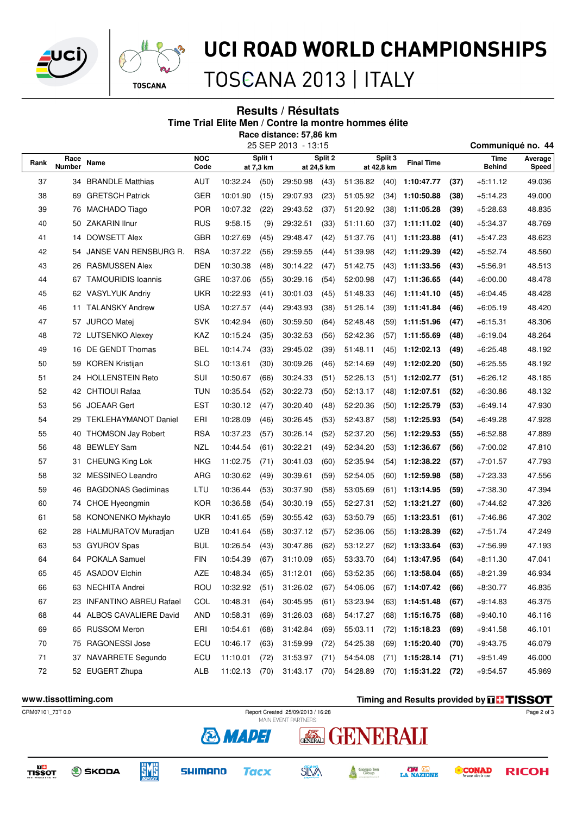



# UCI ROAD WORLD CHAMPIONSHIPS

TOSCANA 2013 | ITALY

#### **Results / Résultats Time Trial Elite Men / Contre la montre hommes élite Race distance: 57,86 km**

25 SEP 2013 - 13:15 **Communiqué no. 44**

| Rank | Race<br><b>Number</b> | Name                        | <b>NOC</b><br>Code |          | Split 1<br>at 7,3 km |          | Split 2<br>at 24,5 km | Split 3<br>at 42,8 km |                    | <b>Final Time</b> |      | Time<br><b>Behind</b> | Average<br>Speed |
|------|-----------------------|-----------------------------|--------------------|----------|----------------------|----------|-----------------------|-----------------------|--------------------|-------------------|------|-----------------------|------------------|
| 37   |                       | 34 BRANDLE Matthias         | AUT                | 10:32.24 | (50)                 | 29:50.98 | (43)                  | 51:36.82              | 1:10:47.77<br>(40) |                   | (37) | $+5:11.12$            | 49.036           |
| 38   | 69                    | <b>GRETSCH Patrick</b>      | <b>GER</b>         | 10:01.90 | (15)                 | 29:07.93 | (23)                  | 51:05.92              | (34)               | 1:10:50.88        | (38) | $+5:14.23$            | 49.000           |
| 39   | 76                    | MACHADO Tiago               | <b>POR</b>         | 10:07.32 | (22)                 | 29:43.52 | (37)                  | 51:20.92              | (38)               | 1:11:05.28        | (39) | $+5:28.63$            | 48.835           |
| 40   |                       | 50 ZAKARIN Ilnur            | <b>RUS</b>         | 9:58.15  | (9)                  | 29:32.51 | (33)                  | 51:11.60              | (37)               | 1:11:11.02        | (40) | $+5:34.37$            | 48.769           |
| 41   | 14                    | <b>DOWSETT Alex</b>         | <b>GBR</b>         | 10:27.69 | (45)                 | 29:48.47 | (42)                  | 51:37.76              | (41)               | 1:11:23.88        | (41) | $+5:47.23$            | 48.623           |
| 42   | 54                    | JANSE VAN RENSBURG R.       | <b>RSA</b>         | 10:37.22 | (56)                 | 29:59.55 | (44)                  | 51:39.98              | (42)               | 1:11:29.39        | (42) | $+5:52.74$            | 48.560           |
| 43   | 26                    | <b>RASMUSSEN Alex</b>       | <b>DEN</b>         | 10:30.38 | (48)                 | 30:14.22 | (47)                  | 51:42.75              | (43)               | 1:11:33.56        | (43) | $+5:56.91$            | 48.513           |
| 44   | 67                    | <b>TAMOURIDIS Ioannis</b>   | GRE                | 10:37.06 | (55)                 | 30:29.16 | (54)                  | 52:00.98              | (47)               | 1:11:36.65        | (44) | $+6:00.00$            | 48.478           |
| 45   |                       | 62 VASYLYUK Andriy          | <b>UKR</b>         | 10:22.93 | (41)                 | 30:01.03 | (45)                  | 51:48.33              | (46)               | 1:11:41.10        | (45) | $+6.04.45$            | 48.428           |
| 46   | 11                    | <b>TALANSKY Andrew</b>      | <b>USA</b>         | 10:27.57 | (44)                 | 29:43.93 | (38)                  | 51:26.14              | (39)               | 1:11:41.84        | (46) | $+6:05.19$            | 48.420           |
| 47   |                       | 57 JURCO Matej              | <b>SVK</b>         | 10:42.94 | (60)                 | 30:59.50 | (64)                  | 52:48.48              | (59)               | 1:11:51.96        | (47) | $+6.15.31$            | 48.306           |
| 48   |                       | 72 LUTSENKO Alexey          | KAZ                | 10:15.24 | (35)                 | 30:32.53 | (56)                  | 52:42.36              | (57)               | 1:11:55.69        | (48) | $+6.19.04$            | 48.264           |
| 49   | 16                    | DE GENDT Thomas             | BEL                | 10:14.74 | (33)                 | 29:45.02 | (39)                  | 51:48.11              | (45)               | 1:12:02.13        | (49) | $+6:25.48$            | 48.192           |
| 50   |                       | 59 KOREN Kristijan          | <b>SLO</b>         | 10:13.61 | (30)                 | 30:09.26 | (46)                  | 52:14.69              | (49)               | 1:12:02.20        | (50) | +6:25.55              | 48.192           |
| 51   | 24                    | <b>HOLLENSTEIN Reto</b>     | SUI                | 10:50.67 | (66)                 | 30:24.33 | (51)                  | 52:26.13              | (51)               | 1:12:02.77        | (51) | $+6:26.12$            | 48.185           |
| 52   |                       | 42 CHTIOUI Rafaa            | TUN                | 10:35.54 | (52)                 | 30:22.73 | (50)                  | 52:13.17              | (48)               | 1:12:07.51        | (52) | $+6:30.86$            | 48.132           |
| 53   | 56                    | <b>JOEAAR Gert</b>          | <b>EST</b>         | 10:30.12 | (47)                 | 30:20.40 | (48)                  | 52:20.36              | (50)               | 1:12:25.79        | (53) | $+6:49.14$            | 47.930           |
| 54   | 29                    | <b>TEKLEHAYMANOT Daniel</b> | ERI                | 10:28.09 | (46)                 | 30:26.45 | (53)                  | 52:43.87              | (58)               | 1:12:25.93        | (54) | $+6:49.28$            | 47.928           |
| 55   | 40                    | <b>THOMSON Jay Robert</b>   | <b>RSA</b>         | 10:37.23 | (57)                 | 30:26.14 | (52)                  | 52:37.20              | (56)               | 1:12:29.53        | (55) | $+6:52.88$            | 47.889           |
| 56   | 48                    | <b>BEWLEY Sam</b>           | NZL                | 10:44.54 | (61)                 | 30:22.21 | (49)                  | 52:34.20              | (53)               | 1:12:36.67        | (56) | $+7:00.02$            | 47.810           |
| 57   | 31.                   | <b>CHEUNG King Lok</b>      | <b>HKG</b>         | 11:02.75 | (71)                 | 30:41.03 | (60)                  | 52:35.94              | (54)               | 1:12:38.22        | (57) | $+7:01.57$            | 47.793           |
| 58   | 32                    | <b>MESSINEO Leandro</b>     | <b>ARG</b>         | 10:30.62 | (49)                 | 30:39.61 | (59)                  | 52:54.05              | (60)               | 1:12:59.98        | (58) | $+7:23.33$            | 47.556           |
| 59   | 46                    | <b>BAGDONAS Gediminas</b>   | LTU                | 10:36.44 | (53)                 | 30:37.90 | (58)                  | 53:05.69              | (61)               | 1:13:14.95        | (59) | $+7:38.30$            | 47.394           |
| 60   | 74                    | CHOE Hyeongmin              | <b>KOR</b>         | 10:36.58 | (54)                 | 30:30.19 | (55)                  | 52:27.31              | (52)               | 1:13:21.27        | (60) | $+7:44.62$            | 47.326           |
| 61   | 58                    | KONONENKO Mykhaylo          | UKR                | 10:41.65 | (59)                 | 30:55.42 | (63)                  | 53:50.79              | (65)               | 1:13:23.51        | (61) | $+7:46.86$            | 47.302           |
| 62   |                       | 28 HALMURATOV Muradjan      | <b>UZB</b>         | 10:41.64 | (58)                 | 30:37.12 | (57)                  | 52:36.06              | (55)               | 1:13:28.39        | (62) | $+7:51.74$            | 47.249           |
| 63   | 53                    | <b>GYUROV Spas</b>          | <b>BUL</b>         | 10:26.54 | (43)                 | 30:47.86 | (62)                  | 53:12.27              | (62)               | 1:13:33.64        | (63) | $+7:56.99$            | 47.193           |
| 64   | 64                    | <b>POKALA Samuel</b>        | <b>FIN</b>         | 10:54.39 | (67)                 | 31:10.09 | (65)                  | 53:33.70              | (64)               | 1:13:47.95        | (64) | $+8:11.30$            | 47.041           |
| 65   |                       | 45 ASADOV Elchin            | AZE                | 10:48.34 | (65)                 | 31:12.01 | (66)                  | 53:52.35              | (66)               | 1:13:58.04        | (65) | $+8:21.39$            | 46.934           |
| 66   |                       | 63 NECHITA Andrei           | ROU                | 10:32.92 | (51)                 | 31:26.02 | (67)                  | 54:06.06              |                    | $(67)$ 1:14:07.42 | (66) | $+8:30.77$            | 46.835           |
| 67   |                       | 23 INFANTINO ABREU Rafael   | COL                | 10:48.31 | (64)                 | 30:45.95 | (61)                  | 53:23.94              |                    | $(63)$ 1:14:51.48 | (67) | $+9:14.83$            | 46.375           |
| 68   | 44                    | ALBOS CAVALIERE David       | <b>AND</b>         | 10:58.31 | (69)                 | 31:26.03 | (68)                  | 54:17.27              |                    | $(68)$ 1:15:16.75 | (68) | $+9:40.10$            | 46.116           |
| 69   |                       | 65 RUSSOM Meron             | ERI                | 10:54.61 | (68)                 | 31:42.84 | (69)                  | 55:03.11              |                    | $(72)$ 1:15:18.23 | (69) | $+9:41.58$            | 46.101           |
| 70   | 75                    | RAGONESSI Jose              | ECU                | 10:46.17 | (63)                 | 31:59.99 | (72)                  | 54:25.38              | (69)               | 1:15:20.40        | (70) | $+9:43.75$            | 46.079           |
| 71   | 37                    | NAVARRETE Segundo           | ECU                | 11:10.01 | (72)                 | 31:53.97 | (71)                  | 54:54.08              |                    | $(71)$ 1:15:28.14 | (71) | $+9:51.49$            | 46.000           |
| 72   |                       | 52 EUGERT Zhupa             | ALB                | 11:02.13 | (70)                 | 31:43.17 | (70)                  | 54:28.89              | (70)               | 1:15:31.22        | (72) | $+9:54.57$            | 45.969           |

**www.tissottiming.com Timing and Results provided by THSSOT** CRM07101\_73T 0.0 Report Created 25/09/2013 / 16:28 Page 2 of 3**& MADEI EXERNIT** ENERALI **EME** TISSOT **SILVA** Giorgio Tesi<br>Group **ON AREA CONAD O** ŠKODA **SHIMANO Tacx RICOH** A